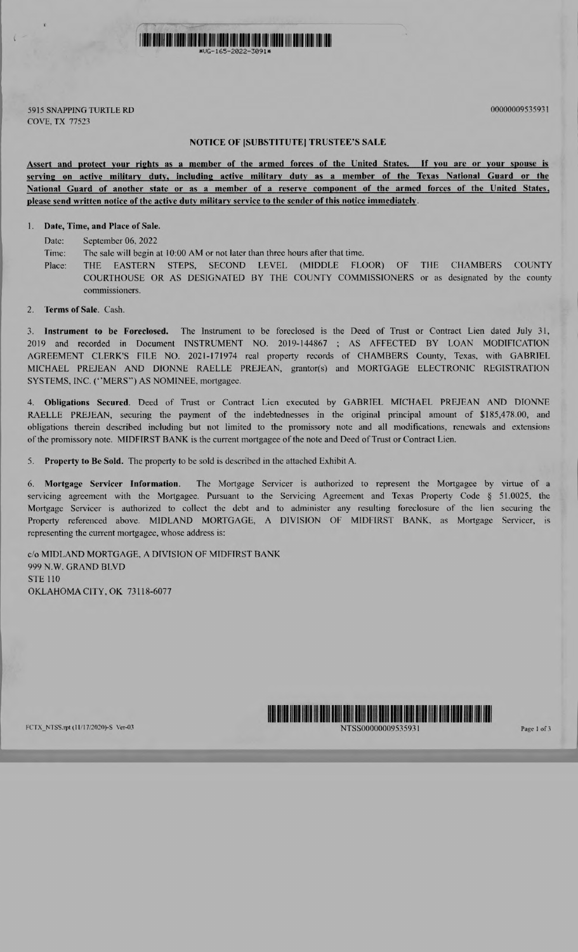

5915 SNAPPING TURTLE RD 00000009535931 COVE, TX 77523

NOTICE OF [SUBSTITUTE] TRUSTEE'S SALE

Assert and protect your rights as a member of the armed forces of the United States. If you are or your spouse is serving on active military duty, including active military duty as a member of the Texas National Guard or the National Guard of another state or as a member of a reserve component of the armed forces of the United States, please send written notice of the active duty military service to the sender of this notice immediately.

1. Date, Time, and Place of Sale.

Date: September 06, 2022

Time: The sale will begin at 10:00 AM or not later than three hours after that time.

Place: THE EASTERN STEPS, SECOND LEVEL (MIDDLE FLOOR) OF THE CHAMBERS COUNTY COURTHOUSE OR AS DESIGNATED BY THE COUNTY COMMISSIONERS or as designated by the county commissioners.

2. Terms of Sale. Cash.

3. Instrument to be Foreclosed. The Instrument to be foreclosed is the Deed of Trust or Contract Lien dated July 31, 2019 and recorded in Document INSTRUMENT NO. 2019-144867 ; AS AFFECTED BY LOAN MODIFICATION AGREEMENT CLERK'S FILE NO. 2021-171974 real property records of CHAMBERS County, Texas, with GABRIEL MICHAEL PREJEAN AND DIONNE RAELLE PREJEAN, grantor(s) and MORTGAGE ELECTRONIC REGISTRATION SYSTEMS, INC. ("MERS") AS NOMINEE, mortgagee.

4. Obligations Secured. Deed of Trust or Contract Lien executed by GABRIEL MICHAEL PREJEAN AND DIONNE RAELLE PREJEAN, securing the payment of the indebtednesses in the original principal amount of \$185,478.00, and obligations therein described including but not limited to the promissory note and all modifications, renewals and extensions of the promissory note. MIDFIRST BANK is the current mortgagee of the note and Deed of Trust or Contract Lien.

5. Property to Be Sold. The property to be sold is described in the attached Exhibit A.

6. Mortgage Servicer Information. The Mortgage Servicer is authorized to represent the Mortgagee by virtue of a servicing agreement with the Mortgagee. Pursuant to the Servicing Agreement and Texas Property Code § 51.0025. the Mortgage Servicer is authorized to collect the debt and to administer any resulting foreclosure of the lien securing the Property referenced above. MIDLAND MORTGAGE, A DIVISION OF MIDFIRST BANK, as Mortgage Servicer, is representing the current mortgagee, whose address is:

c/o MIDLAND MORTGAGE. A DIVISION OF MIDFIRST BANK 999 N.W. GRAND BLVD STE 110 OKLAHOMA CITY, OK 73118-6077



NTSS00000009535931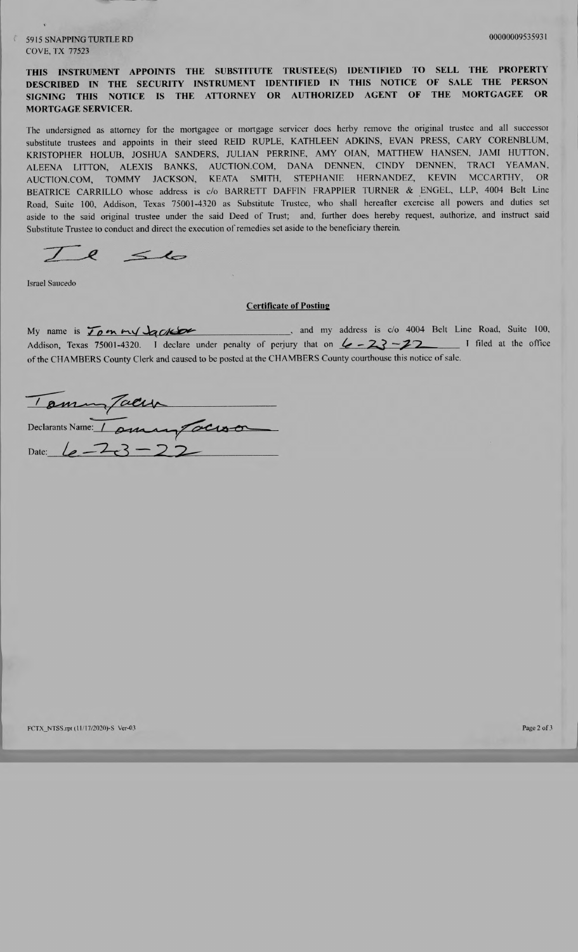5915 SNAPPING TURTLE RD 00000009535931 COVE, TX 77523

THIS INSTRUMENT APPOINTS THE SUBSTITUTE TRUSTEE(S) IDENTIFIED TO SELL THE PROPERTY DESCRIBED IN THE SECURITY INSTRUMENT IDENTIFIED IN THIS NOTICE OF SALE THE PERSON<br>SIGNING THIS NOTICE IS THE ATTORNEY OR AUTHORIZED AGENT OF THE MORTGAGEE OR SIGNING THIS NOTICE IS THE ATTORNEY OR AUTHORIZED AGENT MORTGAGE SERVICER.

The undersigned as attorney for the mortgagee or mortgage servicer does herby remove the original trustee and all successor substitute trustees and appoints in their steed REID RUPLE, KATHLEEN ADKINS, EVAN PRESS, CARY CORENBLUM, KRISTOPHER HOLUB, JOSHUA SANDERS, JULIAN PERRINE, AMY OIAN, MATTHEW HANSEN, JAM! HUTTON, ALEENA LITTON, ALEXIS BANKS, AUCTION.COM, DANA DENNEN, CINDY DENNEN, TRACI YEAMAN, AUCTION.COM, TOMMY JACKSON, KEATA SMITH, STEPHANIE HERNANDEZ, KEVIN MCCARTHY, OR BEATRICE CARRILLO whose address is c/o BARRETT DAFFIN FRAPPIER TURNER & ENGEL, LLP, 4004 Belt Line Road, Suite 100, Addison, Texas 75001-4320 as Substitute Trustee, who shall hereafter exercise all powers and duties set aside to the said original trustee under the said Deed of Trust; and, further does hereby request, authorize, and instruct said Substitute Trustee to conduct and direct the execution of remedies set aside to the beneficiary therein.

 $\int$  $56$ 

Israel Saucedo

## Certificate of Posting

My name is  $\overline{L\rho}$  on  $\overline{M}$  and  $\overline{M}$  and my address is  $c/\overline{O}$  4004 Belt Line Road, Suite 100, Addison, Texas 75001-4320. I declare under penalty of perjury that on  $\mathcal{L}$  -23 -22 I filed at the office of the CHAMBERS County Clerk and caused to be posted at the CHAMBERS County courthouse this notice of sale.

Declarants Name: / Date:  $\iota$